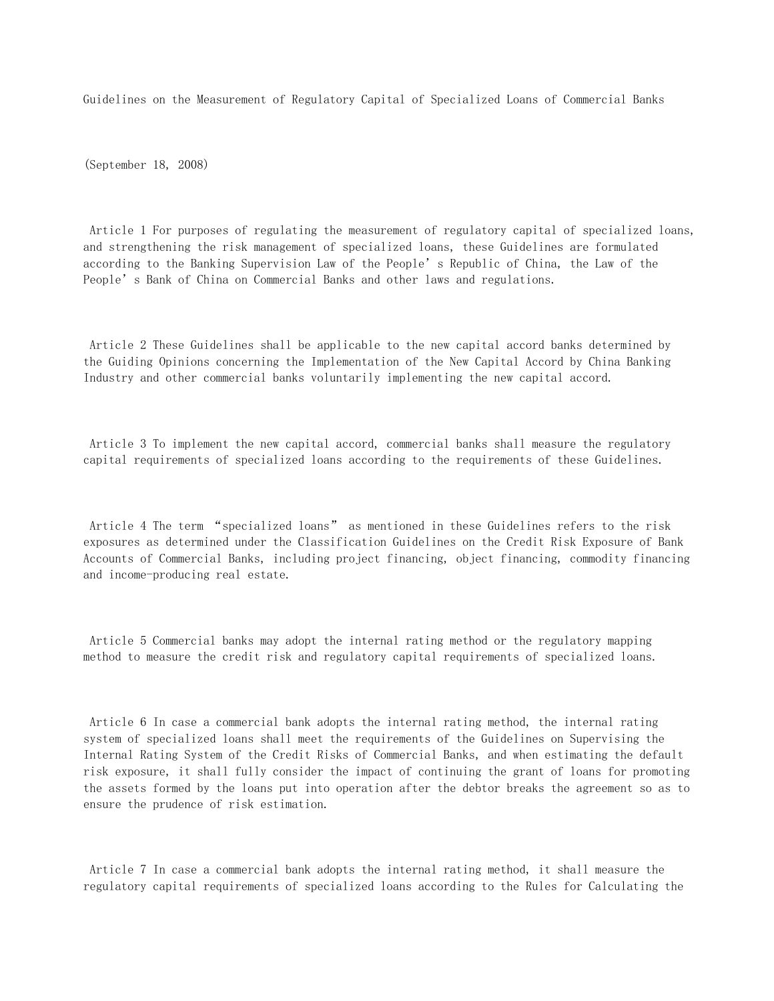Guidelines on the Measurement of Regulatory Capital of Specialized Loans of Commercial Banks

(September 18, 2008)

 Article 1 For purposes of regulating the measurement of regulatory capital of specialized loans, and strengthening the risk management of specialized loans, these Guidelines are formulated according to the Banking Supervision Law of the People's Republic of China, the Law of the People's Bank of China on Commercial Banks and other laws and regulations.

 Article 2 These Guidelines shall be applicable to the new capital accord banks determined by the Guiding Opinions concerning the Implementation of the New Capital Accord by China Banking Industry and other commercial banks voluntarily implementing the new capital accord.

 Article 3 To implement the new capital accord, commercial banks shall measure the regulatory capital requirements of specialized loans according to the requirements of these Guidelines.

 Article 4 The term "specialized loans" as mentioned in these Guidelines refers to the risk exposures as determined under the Classification Guidelines on the Credit Risk Exposure of Bank Accounts of Commercial Banks, including project financing, object financing, commodity financing and income-producing real estate.

 Article 5 Commercial banks may adopt the internal rating method or the regulatory mapping method to measure the credit risk and regulatory capital requirements of specialized loans.

 Article 6 In case a commercial bank adopts the internal rating method, the internal rating system of specialized loans shall meet the requirements of the Guidelines on Supervising the Internal Rating System of the Credit Risks of Commercial Banks, and when estimating the default risk exposure, it shall fully consider the impact of continuing the grant of loans for promoting the assets formed by the loans put into operation after the debtor breaks the agreement so as to ensure the prudence of risk estimation.

 Article 7 In case a commercial bank adopts the internal rating method, it shall measure the regulatory capital requirements of specialized loans according to the Rules for Calculating the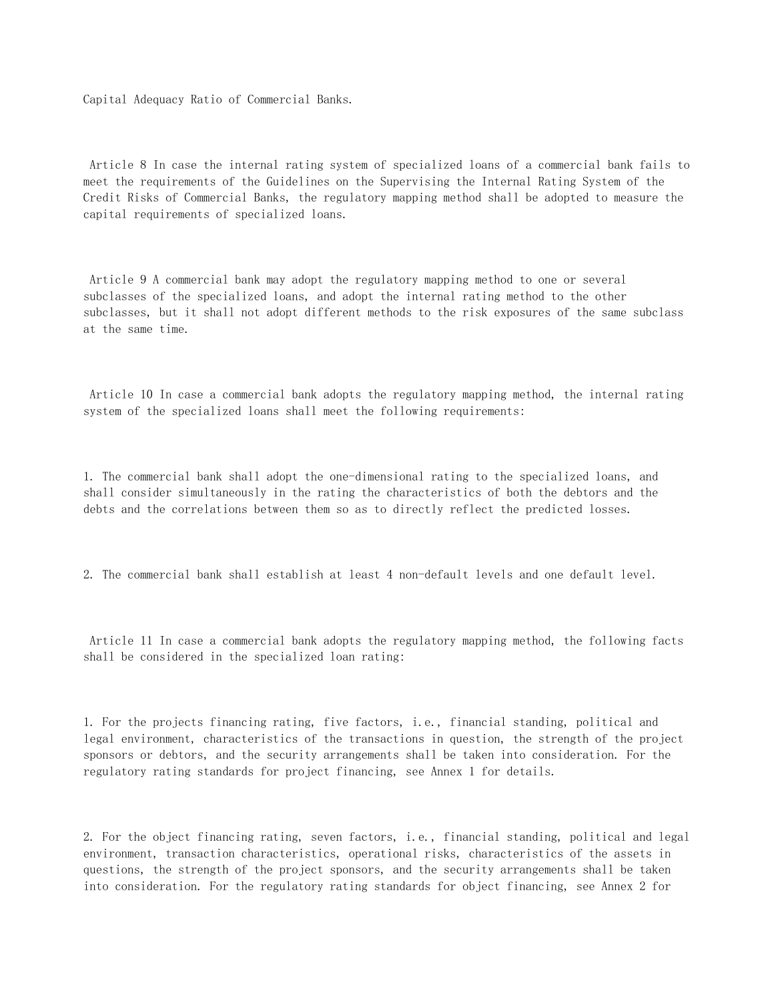Capital Adequacy Ratio of Commercial Banks.

 Article 8 In case the internal rating system of specialized loans of a commercial bank fails to meet the requirements of the Guidelines on the Supervising the Internal Rating System of the Credit Risks of Commercial Banks, the regulatory mapping method shall be adopted to measure the capital requirements of specialized loans.

 Article 9 A commercial bank may adopt the regulatory mapping method to one or several subclasses of the specialized loans, and adopt the internal rating method to the other subclasses, but it shall not adopt different methods to the risk exposures of the same subclass at the same time.

 Article 10 In case a commercial bank adopts the regulatory mapping method, the internal rating system of the specialized loans shall meet the following requirements:

1. The commercial bank shall adopt the one-dimensional rating to the specialized loans, and shall consider simultaneously in the rating the characteristics of both the debtors and the debts and the correlations between them so as to directly reflect the predicted losses.

2. The commercial bank shall establish at least 4 non-default levels and one default level.

 Article 11 In case a commercial bank adopts the regulatory mapping method, the following facts shall be considered in the specialized loan rating:

1. For the projects financing rating, five factors, i.e., financial standing, political and legal environment, characteristics of the transactions in question, the strength of the project sponsors or debtors, and the security arrangements shall be taken into consideration. For the regulatory rating standards for project financing, see Annex 1 for details.

2. For the object financing rating, seven factors, i.e., financial standing, political and legal environment, transaction characteristics, operational risks, characteristics of the assets in questions, the strength of the project sponsors, and the security arrangements shall be taken into consideration. For the regulatory rating standards for object financing, see Annex 2 for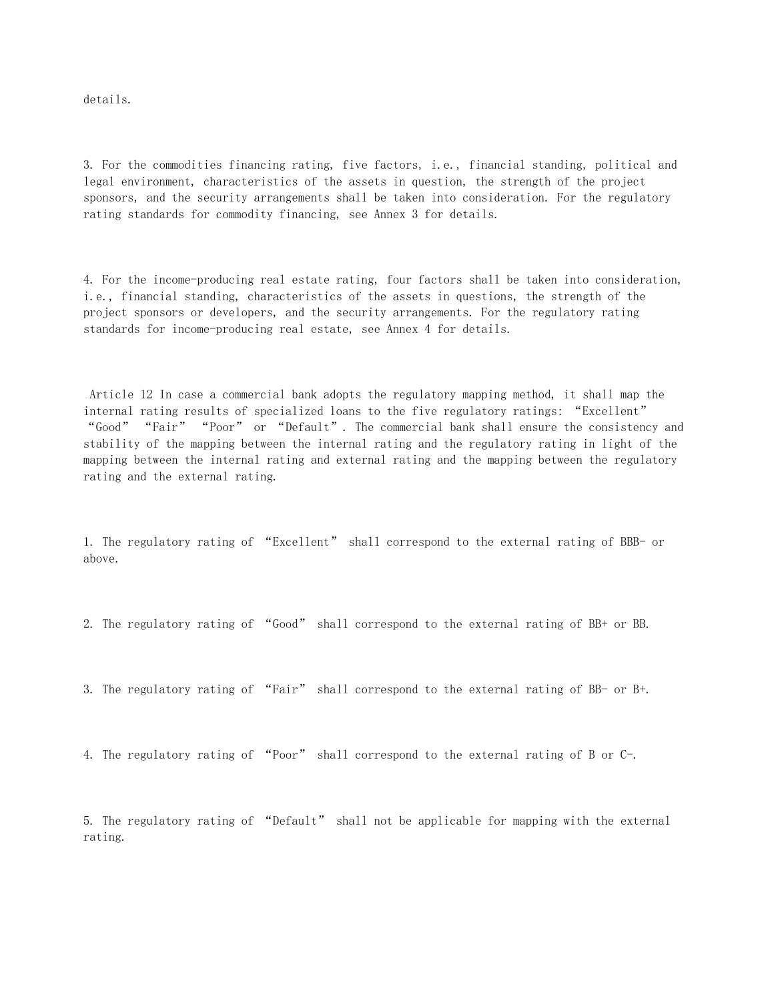details.

3. For the commodities financing rating, five factors, i.e., financial standing, political and legal environment, characteristics of the assets in question, the strength of the project sponsors, and the security arrangements shall be taken into consideration. For the regulatory rating standards for commodity financing, see Annex 3 for details.

4. For the income-producing real estate rating, four factors shall be taken into consideration, i.e., financial standing, characteristics of the assets in questions, the strength of the project sponsors or developers, and the security arrangements. For the regulatory rating standards for income-producing real estate, see Annex 4 for details.

 Article 12 In case a commercial bank adopts the regulatory mapping method, it shall map the internal rating results of specialized loans to the five regulatory ratings: "Excellent" "Good" "Fair" "Poor" or "Default". The commercial bank shall ensure the consistency and stability of the mapping between the internal rating and the regulatory rating in light of the mapping between the internal rating and external rating and the mapping between the regulatory rating and the external rating.

1. The regulatory rating of "Excellent" shall correspond to the external rating of BBB- or above.

2. The regulatory rating of "Good" shall correspond to the external rating of BB+ or BB.

3. The regulatory rating of "Fair" shall correspond to the external rating of BB- or B+.

4. The regulatory rating of "Poor" shall correspond to the external rating of B or C-.

5. The regulatory rating of "Default" shall not be applicable for mapping with the external rating.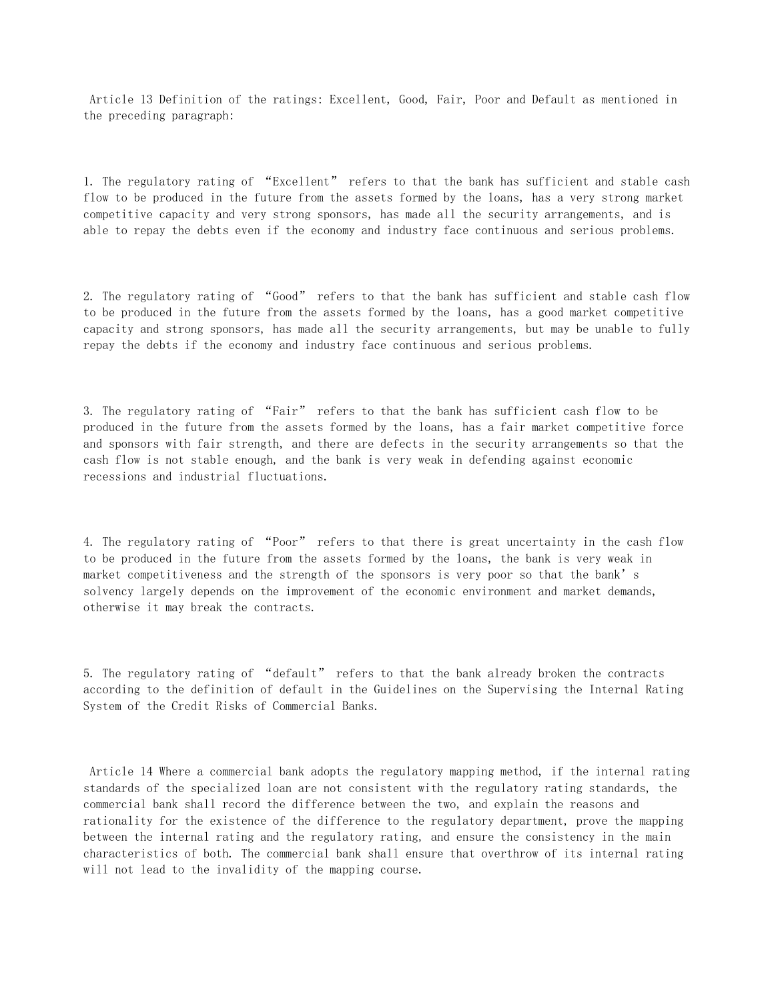Article 13 Definition of the ratings: Excellent, Good, Fair, Poor and Default as mentioned in the preceding paragraph:

1. The regulatory rating of "Excellent" refers to that the bank has sufficient and stable cash flow to be produced in the future from the assets formed by the loans, has a very strong market competitive capacity and very strong sponsors, has made all the security arrangements, and is able to repay the debts even if the economy and industry face continuous and serious problems.

2. The regulatory rating of "Good" refers to that the bank has sufficient and stable cash flow to be produced in the future from the assets formed by the loans, has a good market competitive capacity and strong sponsors, has made all the security arrangements, but may be unable to fully repay the debts if the economy and industry face continuous and serious problems.

3. The regulatory rating of "Fair" refers to that the bank has sufficient cash flow to be produced in the future from the assets formed by the loans, has a fair market competitive force and sponsors with fair strength, and there are defects in the security arrangements so that the cash flow is not stable enough, and the bank is very weak in defending against economic recessions and industrial fluctuations.

4. The regulatory rating of "Poor" refers to that there is great uncertainty in the cash flow to be produced in the future from the assets formed by the loans, the bank is very weak in market competitiveness and the strength of the sponsors is very poor so that the bank's solvency largely depends on the improvement of the economic environment and market demands, otherwise it may break the contracts.

5. The regulatory rating of "default" refers to that the bank already broken the contracts according to the definition of default in the Guidelines on the Supervising the Internal Rating System of the Credit Risks of Commercial Banks.

 Article 14 Where a commercial bank adopts the regulatory mapping method, if the internal rating standards of the specialized loan are not consistent with the regulatory rating standards, the commercial bank shall record the difference between the two, and explain the reasons and rationality for the existence of the difference to the regulatory department, prove the mapping between the internal rating and the regulatory rating, and ensure the consistency in the main characteristics of both. The commercial bank shall ensure that overthrow of its internal rating will not lead to the invalidity of the mapping course.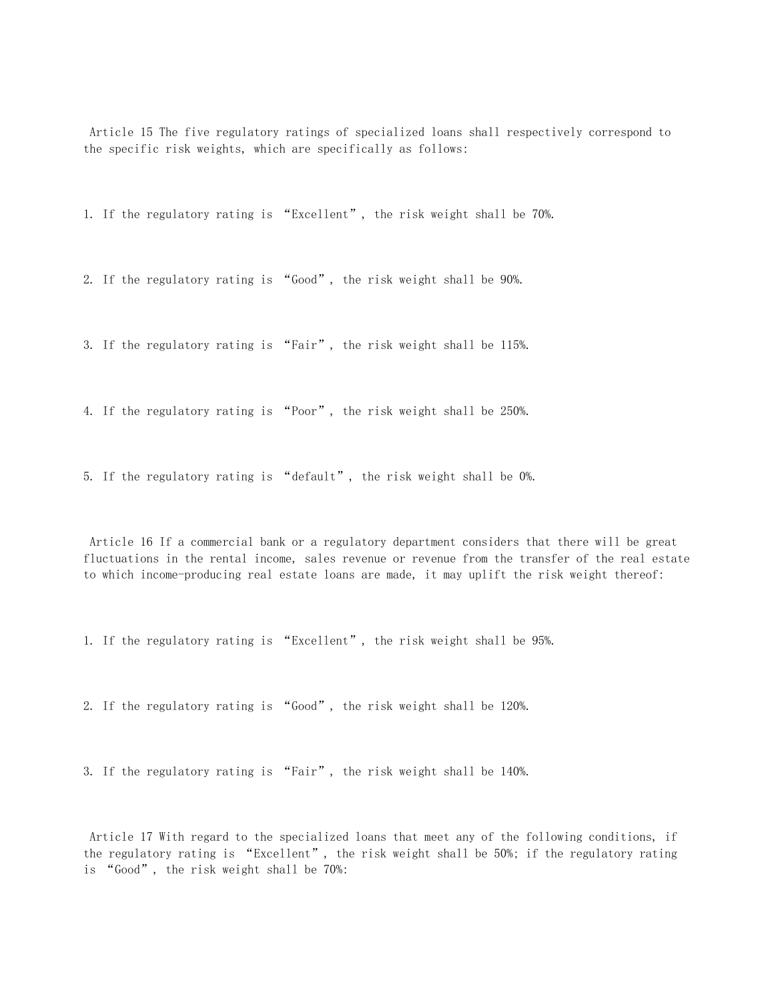Article 15 The five regulatory ratings of specialized loans shall respectively correspond to the specific risk weights, which are specifically as follows:

1. If the regulatory rating is "Excellent", the risk weight shall be 70%.

2. If the regulatory rating is "Good", the risk weight shall be 90%.

3. If the regulatory rating is "Fair", the risk weight shall be 115%.

4. If the regulatory rating is "Poor", the risk weight shall be 250%.

5. If the regulatory rating is "default", the risk weight shall be 0%.

 Article 16 If a commercial bank or a regulatory department considers that there will be great fluctuations in the rental income, sales revenue or revenue from the transfer of the real estate to which income-producing real estate loans are made, it may uplift the risk weight thereof:

1. If the regulatory rating is "Excellent", the risk weight shall be 95%.

2. If the regulatory rating is "Good", the risk weight shall be 120%.

3. If the regulatory rating is "Fair", the risk weight shall be 140%.

 Article 17 With regard to the specialized loans that meet any of the following conditions, if the regulatory rating is "Excellent", the risk weight shall be 50%; if the regulatory rating is "Good", the risk weight shall be 70%: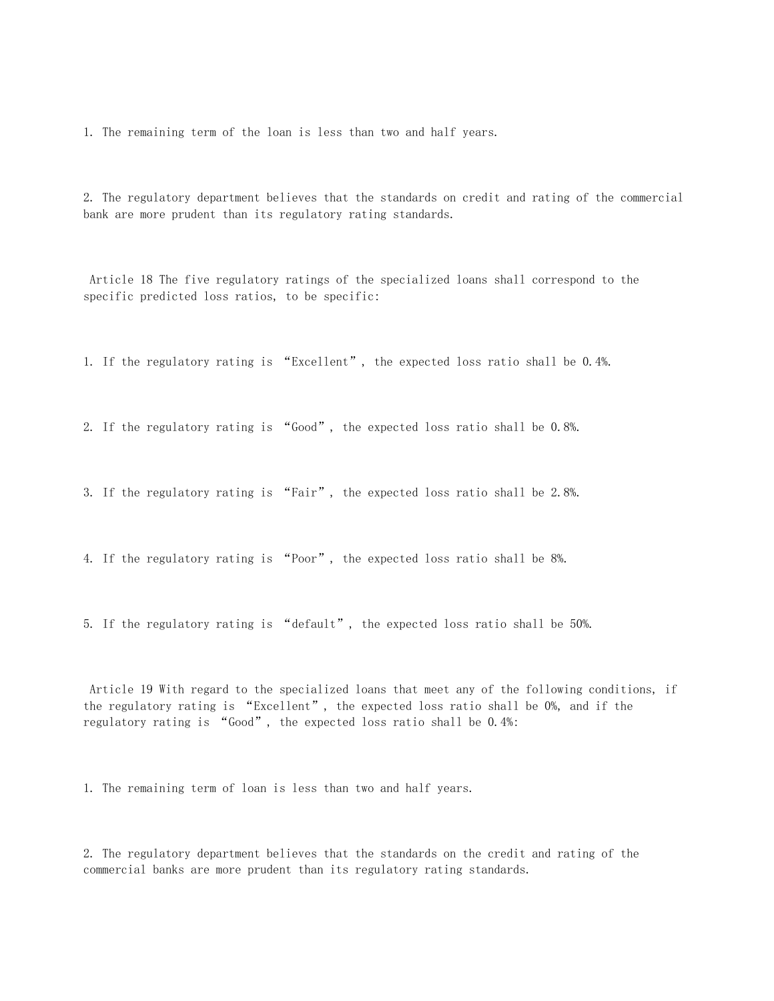1. The remaining term of the loan is less than two and half years.

2. The regulatory department believes that the standards on credit and rating of the commercial bank are more prudent than its regulatory rating standards.

 Article 18 The five regulatory ratings of the specialized loans shall correspond to the specific predicted loss ratios, to be specific:

1. If the regulatory rating is "Excellent", the expected loss ratio shall be 0.4%.

2. If the regulatory rating is "Good", the expected loss ratio shall be 0.8%.

3. If the regulatory rating is "Fair", the expected loss ratio shall be 2.8%.

4. If the regulatory rating is "Poor", the expected loss ratio shall be 8%.

5. If the regulatory rating is "default", the expected loss ratio shall be 50%.

 Article 19 With regard to the specialized loans that meet any of the following conditions, if the regulatory rating is "Excellent", the expected loss ratio shall be 0%, and if the regulatory rating is "Good", the expected loss ratio shall be 0.4%:

1. The remaining term of loan is less than two and half years.

2. The regulatory department believes that the standards on the credit and rating of the commercial banks are more prudent than its regulatory rating standards.